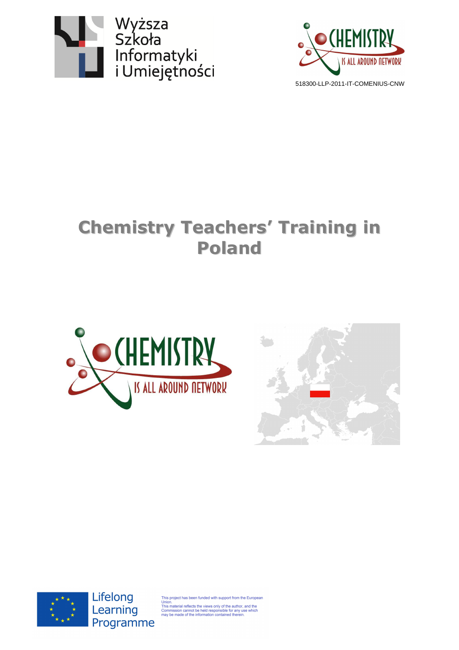



# **Chemistry Teachers' Training in Poland**







Lifelong

Learning Programme

This project has been funded with support from the European<br>Union.<br>This material reflects the views only of the author, and the<br>Commission cannot be held responsible for any use which<br>may be made of the information contain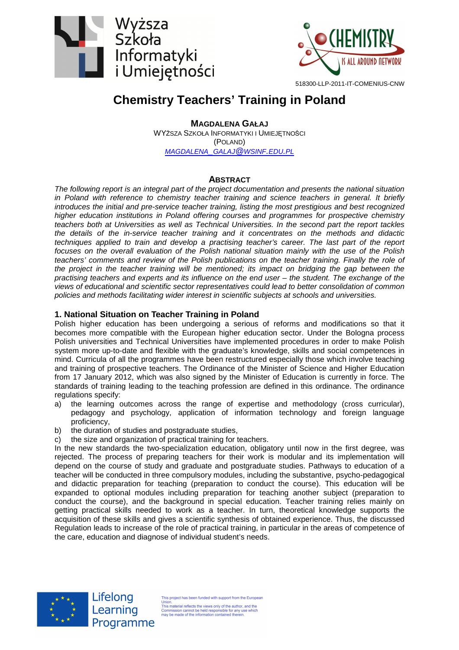



# **Chemistry Teachers' Training in Poland**

**MAGDALENA GAŁAJ** WYŻSZA SZKOŁA INFORMATYKI I UMIEJĘTNOŚCI (POLAND) MAGDALENA\_GALAJ@WSINF.EDU.PL

# **ABSTRACT**

The following report is an integral part of the project documentation and presents the national situation in Poland with reference to chemistry teacher training and science teachers in general. It briefly introduces the initial and pre-service teacher training, listing the most prestigious and best recognized higher education institutions in Poland offering courses and programmes for prospective chemistry teachers both at Universities as well as Technical Universities. In the second part the report tackles the details of the in-service teacher training and it concentrates on the methods and didactic techniques applied to train and develop a practising teacher's career. The last part of the report focuses on the overall evaluation of the Polish national situation mainly with the use of the Polish teachers' comments and review of the Polish publications on the teacher training. Finally the role of the project in the teacher training will be mentioned; its impact on bridging the gap between the practising teachers and experts and its influence on the end user – the student. The exchange of the views of educational and scientific sector representatives could lead to better consolidation of common policies and methods facilitating wider interest in scientific subjects at schools and universities.

#### **1. National Situation on Teacher Training in Poland**

Polish higher education has been undergoing a serious of reforms and modifications so that it becomes more compatible with the European higher education sector. Under the Bologna process Polish universities and Technical Universities have implemented procedures in order to make Polish system more up-to-date and flexible with the graduate's knowledge, skills and social competences in mind. Curricula of all the programmes have been restructured especially those which involve teaching and training of prospective teachers. The Ordinance of the Minister of Science and Higher Education from 17 January 2012, which was also signed by the Minister of Education is currently in force. The standards of training leading to the teaching profession are defined in this ordinance. The ordinance regulations specify:

- a) the learning outcomes across the range of expertise and methodology (cross curricular), pedagogy and psychology, application of information technology and foreign language proficiency,
- b) the duration of studies and postgraduate studies.
- c) the size and organization of practical training for teachers.

In the new standards the two-specialization education, obligatory until now in the first degree, was rejected. The process of preparing teachers for their work is modular and its implementation will depend on the course of study and graduate and postgraduate studies. Pathways to education of a teacher will be conducted in three compulsory modules, including the substantive, psycho-pedagogical and didactic preparation for teaching (preparation to conduct the course). This education will be expanded to optional modules including preparation for teaching another subject (preparation to conduct the course), and the background in special education. Teacher training relies mainly on getting practical skills needed to work as a teacher. In turn, theoretical knowledge supports the acquisition of these skills and gives a scientific synthesis of obtained experience. Thus, the discussed Regulation leads to increase of the role of practical training, in particular in the areas of competence of the care, education and diagnose of individual student's needs.



Lifelong Learning Programme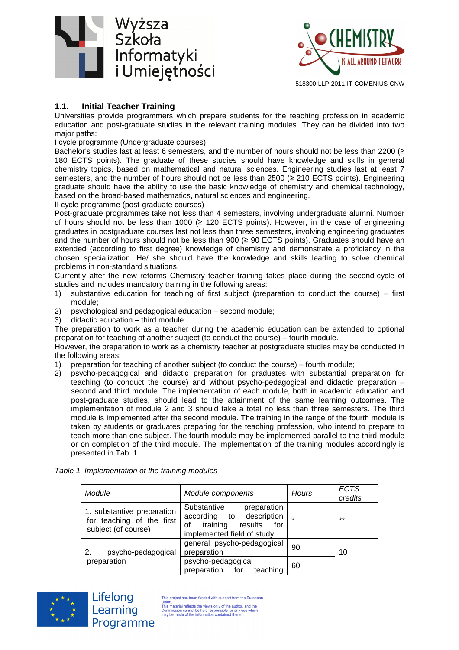



# **1.1. Initial Teacher Training**

Universities provide programmers which prepare students for the teaching profession in academic education and post-graduate studies in the relevant training modules. They can be divided into two major paths:

I cycle programme (Undergraduate courses)

Bachelor's studies last at least 6 semesters, and the number of hours should not be less than 2200 (≥ 180 ECTS points). The graduate of these studies should have knowledge and skills in general chemistry topics, based on mathematical and natural sciences. Engineering studies last at least 7 semesters, and the number of hours should not be less than 2500 (≥ 210 ECTS points). Engineering graduate should have the ability to use the basic knowledge of chemistry and chemical technology, based on the broad-based mathematics, natural sciences and engineering.

II cycle programme (post-graduate courses)

Post-graduate programmes take not less than 4 semesters, involving undergraduate alumni. Number of hours should not be less than 1000 ( $\geq$  120 ECTS points). However, in the case of engineering graduates in postgraduate courses last not less than three semesters, involving engineering graduates and the number of hours should not be less than 900 (≥ 90 ECTS points). Graduates should have an extended (according to first degree) knowledge of chemistry and demonstrate a proficiency in the chosen specialization. He/ she should have the knowledge and skills leading to solve chemical problems in non-standard situations.

Currently after the new reforms Chemistry teacher training takes place during the second-cycle of studies and includes mandatory training in the following areas:

- 1) substantive education for teaching of first subject (preparation to conduct the course) first module;
- 2) psychological and pedagogical education second module;
- 3) didactic education third module.

The preparation to work as a teacher during the academic education can be extended to optional preparation for teaching of another subject (to conduct the course) – fourth module.

However, the preparation to work as a chemistry teacher at postgraduate studies may be conducted in the following areas:

- 1) preparation for teaching of another subject (to conduct the course) fourth module;
- 2) psycho-pedagogical and didactic preparation for graduates with substantial preparation for teaching (to conduct the course) and without psycho-pedagogical and didactic preparation – second and third module. The implementation of each module, both in academic education and post-graduate studies, should lead to the attainment of the same learning outcomes. The implementation of module 2 and 3 should take a total no less than three semesters. The third module is implemented after the second module. The training in the range of the fourth module is taken by students or graduates preparing for the teaching profession, who intend to prepare to teach more than one subject. The fourth module may be implemented parallel to the third module or on completion of the third module. The implementation of the training modules accordingly is presented in Tab. 1.

| Module                                                                         | Module components                                                                                                        | Hours | <b>ECTS</b><br>credits |
|--------------------------------------------------------------------------------|--------------------------------------------------------------------------------------------------------------------------|-------|------------------------|
| 1. substantive preparation<br>for teaching of the first<br>subject (of course) | Substantive<br>preparation<br>according to description<br>training<br>results<br>οf<br>for<br>implemented field of study |       | $***$                  |
| 2.<br>psycho-pedagogical                                                       | general psycho-pedagogical<br>preparation                                                                                | 90    | 10                     |
| preparation                                                                    | psycho-pedagogical<br>preparation for<br>teaching                                                                        | 60    |                        |

Table 1. Implementation of the training modules

Lifelong

Learning Programme

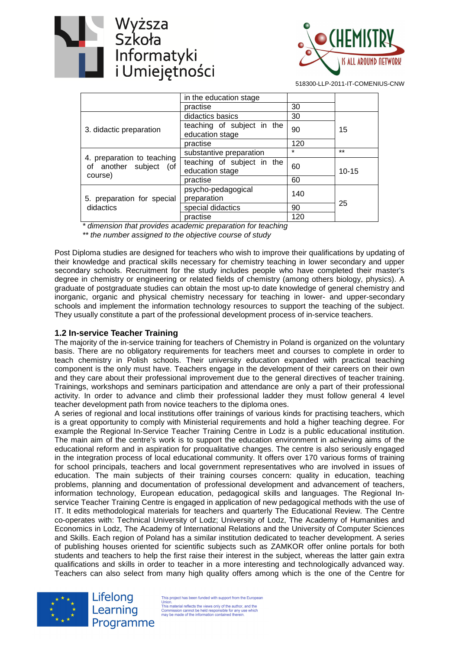



|                                                                    | in the education stage                        |         |           |
|--------------------------------------------------------------------|-----------------------------------------------|---------|-----------|
|                                                                    | practise                                      | 30      |           |
| 3. didactic preparation                                            | didactics basics                              | 30      |           |
|                                                                    | teaching of subject in the<br>education stage | 90      | 15        |
|                                                                    | practise                                      | 120     |           |
| 4. preparation to teaching<br>another subject (of<br>οf<br>course) | substantive preparation                       | $\star$ | $***$     |
|                                                                    | teaching of subject in the<br>education stage | 60      | $10 - 15$ |
|                                                                    | practise                                      | 60      |           |
| 5. preparation for special<br>didactics                            | psycho-pedagogical<br>preparation             | 140     |           |
|                                                                    | special didactics                             | 90      | 25        |
|                                                                    | practise                                      | 120     |           |

\* dimension that provides academic preparation for teaching

\*\* the number assigned to the objective course of study

Post Diploma studies are designed for teachers who wish to improve their qualifications by updating of their knowledge and practical skills necessary for chemistry teaching in lower secondary and upper secondary schools. Recruitment for the study includes people who have completed their master's degree in chemistry or engineering or related fields of chemistry (among others biology, physics). A graduate of postgraduate studies can obtain the most up-to date knowledge of general chemistry and inorganic, organic and physical chemistry necessary for teaching in lower- and upper-secondary schools and implement the information technology resources to support the teaching of the subject. They usually constitute a part of the professional development process of in-service teachers.

# **1.2 In-service Teacher Training**

The majority of the in-service training for teachers of Chemistry in Poland is organized on the voluntary basis. There are no obligatory requirements for teachers meet and courses to complete in order to teach chemistry in Polish schools. Their university education expanded with practical teaching component is the only must have. Teachers engage in the development of their careers on their own and they care about their professional improvement due to the general directives of teacher training. Trainings, workshops and seminars participation and attendance are only a part of their professional activity. In order to advance and climb their professional ladder they must follow general 4 level teacher development path from novice teachers to the diploma ones.

A series of regional and local institutions offer trainings of various kinds for practising teachers, which is a great opportunity to comply with Ministerial requirements and hold a higher teaching degree. For example the Regional In-Service Teacher Training Centre in Lodz is a public educational institution. The main aim of the centre's work is to support the education environment in achieving aims of the educational reform and in aspiration for proqualitative changes. The centre is also seriously engaged in the integration process of local educational community. It offers over 170 various forms of training for school principals, teachers and local government representatives who are involved in issues of education. The main subjects of their training courses concern: quality in education, teaching problems, planning and documentation of professional development and advancement of teachers, information technology, European education, pedagogical skills and languages. The Regional Inservice Teacher Training Centre is engaged in application of new pedagogical methods with the use of IT. It edits methodological materials for teachers and quarterly The Educational Review. The Centre co-operates with: Technical University of Lodz; University of Lodz, The Academy of Humanities and Economics in Lodz, The Academy of International Relations and the University of Computer Sciences and Skills. Each region of Poland has a similar institution dedicated to teacher development. A series of publishing houses oriented for scientific subjects such as ZAMKOR offer online portals for both students and teachers to help the first raise their interest in the subject, whereas the latter gain extra qualifications and skills in order to teacher in a more interesting and technologically advanced way. Teachers can also select from many high quality offers among which is the one of the Centre for



Lifelong

Learning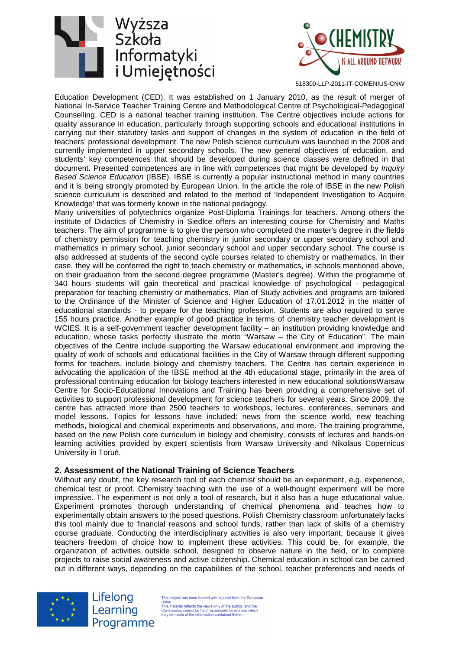



Education Development (CED). It was established on 1 January 2010, as the result of merger of National In-Service Teacher Training Centre and Methodological Centre of Psychological-Pedagogical Counselling. CED is a national teacher training institution. The Centre objectives include actions for quality assurance in education, particularly through supporting schools and educational institutions in carrying out their statutory tasks and support of changes in the system of education in the field of teachers' professional development. The new Polish science curriculum was launched in the 2008 and currently implemented in upper secondary schools. The new general objectives of education, and students' key competences that should be developed during science classes were defined in that document. Presented competences are in line with competences that might be developed by *Inquiry* Based Science Education (IBSE). IBSE is currently a popular instructional method in many countries and it is being strongly promoted by European Union. In the article the role of IBSE in the new Polish science curriculum is described and related to the method of 'Independent Investigation to Acquire Knowledge' that was formerly known in the national pedagogy.

Many universities of polytechnics organize Post-Diploma Trainings for teachers. Among others the institute of Didactics of Chemistry in Siedlce offers an interesting course for Chemistry and Maths teachers. The aim of programme is to give the person who completed the master's degree in the fields of chemistry permission for teaching chemistry in junior secondary or upper secondary school and mathematics in primary school, junior secondary school and upper secondary school. The course is also addressed at students of the second cycle courses related to chemistry or mathematics. In their case, they will be conferred the right to teach chemistry or mathematics, in schools mentioned above, on their graduation from the second degree programme (Master's degree). Within the programme of 340 hours students will gain theoretical and practical knowledge of psychological - pedagogical preparation for teaching chemistry or mathematics. Plan of Study activities and programs are tailored to the Ordinance of the Minister of Science and Higher Education of 17.01.2012 in the matter of educational standards - to prepare for the teaching profession. Students are also required to serve 155 hours practice. Another example of good practice in terms of chemistry teacher development is WCIES. It is a self-government teacher development facility – an institution providing knowledge and education, whose tasks perfectly illustrate the motto "Warsaw – the City of Education". The main objectives of the Centre include supporting the Warsaw educational environment and improving the quality of work of schools and educational facilities in the City of Warsaw through different supporting forms for teachers, include biology and chemistry teachers. The Centre has certain experience in advocating the application of the IBSE method at the 4th educational stage, primarily in the area of professional continuing education for biology teachers interested in new educational solutionsWarsaw Centre for Socio-Educational Innovations and Training has been providing a comprehensive set of activities to support professional development for science teachers for several years. Since 2009, the centre has attracted more than 2500 teachers to workshops, lectures, conferences, seminars and model lessons. Topics for lessons have included: news from the science world, new teaching methods, biological and chemical experiments and observations, and more. The training programme, based on the new Polish core curriculum in biology and chemistry, consists of lectures and hands-on learning activities provided by expert scientists from Warsaw University and Nikolaus Copernicus University in Toruń.

#### **2. Assessment of the National Training of Science Teachers**

Without any doubt, the key research tool of each chemist should be an experiment, e.g. experience, chemical test or proof. Chemistry teaching with the use of a well-thought experiment will be more impressive. The experiment is not only a tool of research, but it also has a huge educational value. Experiment promotes thorough understanding of chemical phenomena and teaches how to experimentally obtain answers to the posed questions. Polish Chemistry classroom unfortunately lacks this tool mainly due to financial reasons and school funds, rather than lack of skills of a chemistry course graduate. Conducting the interdisciplinary activities is also very important, because it gives teachers freedom of choice how to implement these activities. This could be, for example, the organization of activities outside school, designed to observe nature in the field, or to complete projects to raise social awareness and active citizenship. Chemical education in school can be carried out in different ways, depending on the capabilities of the school, teacher preferences and needs of



Lifelong Learning Programme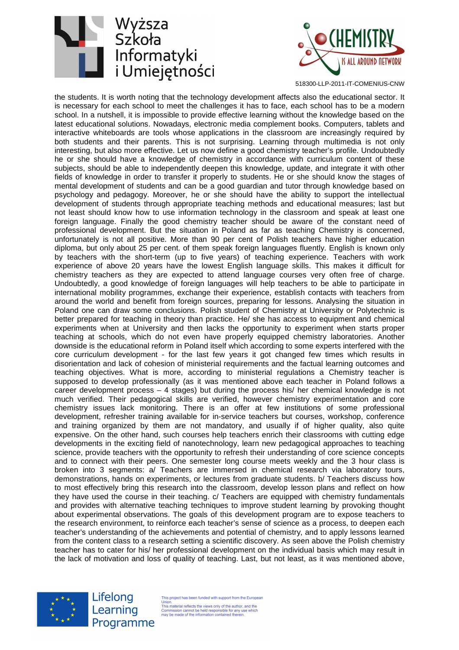



the students. It is worth noting that the technology development affects also the educational sector. It is necessary for each school to meet the challenges it has to face, each school has to be a modern school. In a nutshell, it is impossible to provide effective learning without the knowledge based on the latest educational solutions. Nowadays, electronic media complement books. Computers, tablets and interactive whiteboards are tools whose applications in the classroom are increasingly required by both students and their parents. This is not surprising. Learning through multimedia is not only interesting, but also more effective. Let us now define a good chemistry teacher's profile. Undoubtedly he or she should have a knowledge of chemistry in accordance with curriculum content of these subjects, should be able to independently deepen this knowledge, update, and integrate it with other fields of knowledge in order to transfer it properly to students. He or she should know the stages of mental development of students and can be a good guardian and tutor through knowledge based on psychology and pedagogy. Moreover, he or she should have the ability to support the intellectual development of students through appropriate teaching methods and educational measures; last but not least should know how to use information technology in the classroom and speak at least one foreign language. Finally the good chemistry teacher should be aware of the constant need of professional development. But the situation in Poland as far as teaching Chemistry is concerned, unfortunately is not all positive. More than 90 per cent of Polish teachers have higher education diploma, but only about 25 per cent. of them speak foreign languages fluently. English is known only by teachers with the short-term (up to five years) of teaching experience. Teachers with work experience of above 20 years have the lowest English language skills. This makes it difficult for chemistry teachers as they are expected to attend language courses very often free of charge. Undoubtedly, a good knowledge of foreign languages will help teachers to be able to participate in international mobility programmes, exchange their experience, establish contacts with teachers from around the world and benefit from foreign sources, preparing for lessons. Analysing the situation in Poland one can draw some conclusions. Polish student of Chemistry at University or Polytechnic is better prepared for teaching in theory than practice. He/ she has access to equipment and chemical experiments when at University and then lacks the opportunity to experiment when starts proper teaching at schools, which do not even have properly equipped chemistry laboratories. Another downside is the educational reform in Poland itself which according to some experts interfered with the core curriculum development - for the last few years it got changed few times which results in disorientation and lack of cohesion of ministerial requirements and the factual learning outcomes and teaching objectives. What is more, according to ministerial regulations a Chemistry teacher is supposed to develop professionally (as it was mentioned above each teacher in Poland follows a career development process – 4 stages) but during the process his/ her chemical knowledge is not much verified. Their pedagogical skills are verified, however chemistry experimentation and core chemistry issues lack monitoring. There is an offer at few institutions of some professional development, refresher training available for in-service teachers but courses, workshop, conference and training organized by them are not mandatory, and usually if of higher quality, also quite expensive. On the other hand, such courses help teachers enrich their classrooms with cutting edge developments in the exciting field of nanotechnology, learn new pedagogical approaches to teaching science, provide teachers with the opportunity to refresh their understanding of core science concepts and to connect with their peers. One semester long course meets weekly and the 3 hour class is broken into 3 segments: a/ Teachers are immersed in chemical research via laboratory tours, demonstrations, hands on experiments, or lectures from graduate students. b/ Teachers discuss how to most effectively bring this research into the classroom, develop lesson plans and reflect on how they have used the course in their teaching. c/ Teachers are equipped with chemistry fundamentals and provides with alternative teaching techniques to improve student learning by provoking thought about experimental observations. The goals of this development program are to expose teachers to the research environment, to reinforce each teacher's sense of science as a process, to deepen each teacher's understanding of the achievements and potential of chemistry, and to apply lessons learned from the content class to a research setting a scientific discovery. As seen above the Polish chemistry teacher has to cater for his/ her professional development on the individual basis which may result in the lack of motivation and loss of quality of teaching. Last, but not least, as it was mentioned above,



Lifelong Learning Programme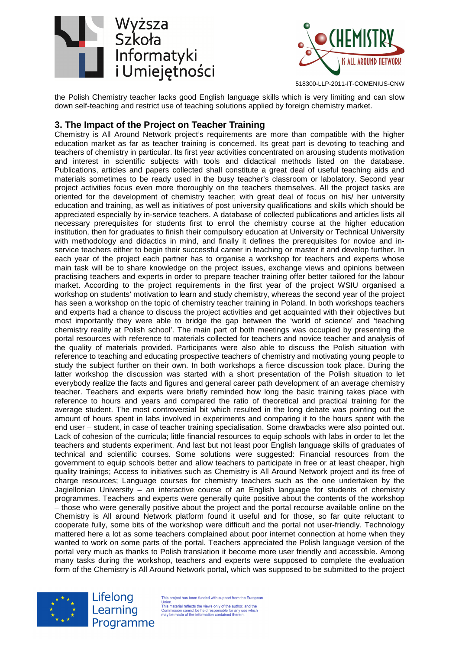



the Polish Chemistry teacher lacks good English language skills which is very limiting and can slow down self-teaching and restrict use of teaching solutions applied by foreign chemistry market.

# **3. The Impact of the Project on Teacher Training**

Chemistry is All Around Network project's requirements are more than compatible with the higher education market as far as teacher training is concerned. Its great part is devoting to teaching and teachers of chemistry in particular. Its first year activities concentrated on arousing students motivation and interest in scientific subjects with tools and didactical methods listed on the database. Publications, articles and papers collected shall constitute a great deal of useful teaching aids and materials sometimes to be ready used in the busy teacher's classroom or labolatory. Second year project activities focus even more thoroughly on the teachers themselves. All the project tasks are oriented for the development of chemistry teacher; with great deal of focus on his/ her university education and training, as well as initiatives of post university qualifications and skills which should be appreciated especially by in-service teachers. A database of collected publications and articles lists all necessary prerequisites for students first to enrol the chemistry course at the higher education institution, then for graduates to finish their compulsory education at University or Technical University with methodology and didactics in mind, and finally it defines the prerequisites for novice and inservice teachers either to begin their successful career in teaching or master it and develop further. In each year of the project each partner has to organise a workshop for teachers and experts whose main task will be to share knowledge on the project issues, exchange views and opinions between practising teachers and experts in order to prepare teacher training offer better tailored for the labour market. According to the project requirements in the first year of the project WSIU organised a workshop on students' motivation to learn and study chemistry, whereas the second year of the project has seen a workshop on the topic of chemistry teacher training in Poland. In both workshops teachers and experts had a chance to discuss the project activities and get acquainted with their objectives but most importantly they were able to bridge the gap between the 'world of science' and 'teaching chemistry reality at Polish school'. The main part of both meetings was occupied by presenting the portal resources with reference to materials collected for teachers and novice teacher and analysis of the quality of materials provided. Participants were also able to discuss the Polish situation with reference to teaching and educating prospective teachers of chemistry and motivating young people to study the subject further on their own. In both workshops a fierce discussion took place. During the latter workshop the discussion was started with a short presentation of the Polish situation to let everybody realize the facts and figures and general career path development of an average chemistry teacher. Teachers and experts were briefly reminded how long the basic training takes place with reference to hours and years and compared the ratio of theoretical and practical training for the average student. The most controversial bit which resulted in the long debate was pointing out the amount of hours spent in labs involved in experiments and comparing it to the hours spent with the end user – student, in case of teacher training specialisation. Some drawbacks were also pointed out. Lack of cohesion of the curricula; little financial resources to equip schools with labs in order to let the teachers and students experiment. And last but not least poor English language skills of graduates of technical and scientific courses. Some solutions were suggested: Financial resources from the government to equip schools better and allow teachers to participate in free or at least cheaper, high quality trainings; Access to initiatives such as Chemistry is All Around Network project and its free of charge resources; Language courses for chemistry teachers such as the one undertaken by the Jagiellonian University – an interactive course of an English language for students of chemistry programmes. Teachers and experts were generally quite positive about the contents of the workshop – those who were generally positive about the project and the portal recourse available online on the Chemistry is All around Network platform found it useful and for those, so far quite reluctant to cooperate fully, some bits of the workshop were difficult and the portal not user-friendly. Technology mattered here a lot as some teachers complained about poor internet connection at home when they wanted to work on some parts of the portal. Teachers appreciated the Polish language version of the portal very much as thanks to Polish translation it become more user friendly and accessible. Among many tasks during the workshop, teachers and experts were supposed to complete the evaluation form of the Chemistry is All Around Network portal, which was supposed to be submitted to the project



Lifelong Learning Programme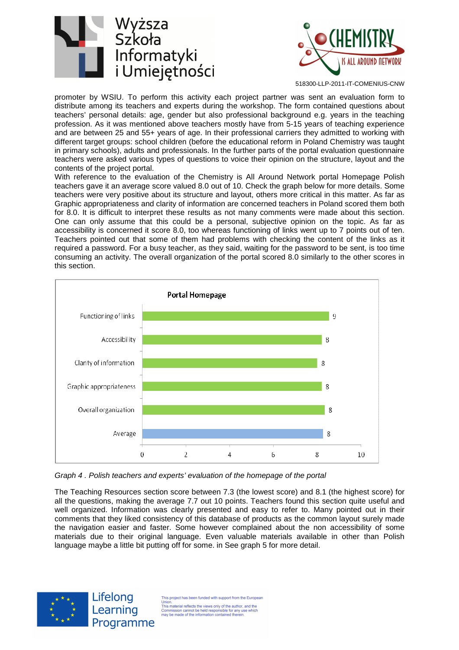



promoter by WSIU. To perform this activity each project partner was sent an evaluation form to distribute among its teachers and experts during the workshop. The form contained questions about teachers' personal details: age, gender but also professional background e.g. years in the teaching profession. As it was mentioned above teachers mostly have from 5-15 years of teaching experience and are between 25 and 55+ years of age. In their professional carriers they admitted to working with different target groups: school children (before the educational reform in Poland Chemistry was taught in primary schools), adults and professionals. In the further parts of the portal evaluation questionnaire teachers were asked various types of questions to voice their opinion on the structure, layout and the contents of the project portal.

With reference to the evaluation of the Chemistry is All Around Network portal Homepage Polish teachers gave it an average score valued 8.0 out of 10. Check the graph below for more details. Some teachers were very positive about its structure and layout, others more critical in this matter. As far as Graphic appropriateness and clarity of information are concerned teachers in Poland scored them both for 8.0. It is difficult to interpret these results as not many comments were made about this section. One can only assume that this could be a personal, subjective opinion on the topic. As far as accessibility is concerned it score 8.0, too whereas functioning of links went up to 7 points out of ten. Teachers pointed out that some of them had problems with checking the content of the links as it required a password. For a busy teacher, as they said, waiting for the password to be sent, is too time consuming an activity. The overall organization of the portal scored 8.0 similarly to the other scores in this section.



Graph 4 . Polish teachers and experts' evaluation of the homepage of the portal

The Teaching Resources section score between 7.3 (the lowest score) and 8.1 (the highest score) for all the questions, making the average 7.7 out 10 points. Teachers found this section quite useful and well organized. Information was clearly presented and easy to refer to. Many pointed out in their comments that they liked consistency of this database of products as the common layout surely made the navigation easier and faster. Some however complained about the non accessibility of some materials due to their original language. Even valuable materials available in other than Polish language maybe a little bit putting off for some. in See graph 5 for more detail.



Lifelong

Learning

Programme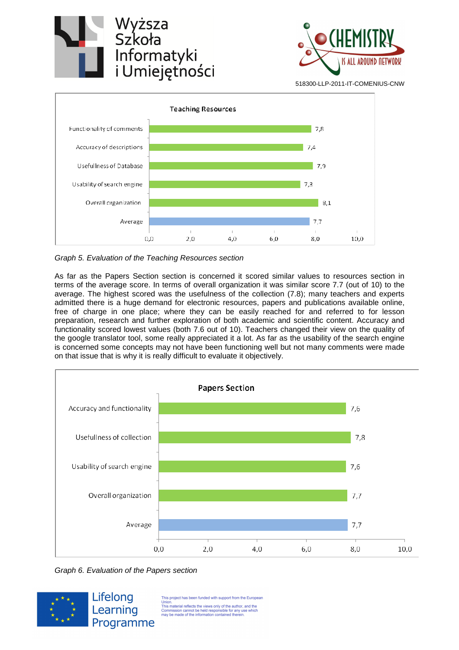





Graph 5. Evaluation of the Teaching Resources section

As far as the Papers Section section is concerned it scored similar values to resources section in terms of the average score. In terms of overall organization it was similar score 7.7 (out of 10) to the average. The highest scored was the usefulness of the collection (7.8); many teachers and experts admitted there is a huge demand for electronic resources, papers and publications available online, free of charge in one place; where they can be easily reached for and referred to for lesson preparation, research and further exploration of both academic and scientific content. Accuracy and functionality scored lowest values (both 7.6 out of 10). Teachers changed their view on the quality of the google translator tool, some really appreciated it a lot. As far as the usability of the search engine is concerned some concepts may not have been functioning well but not many comments were made on that issue that is why it is really difficult to evaluate it objectively.



Graph 6. Evaluation of the Papers section

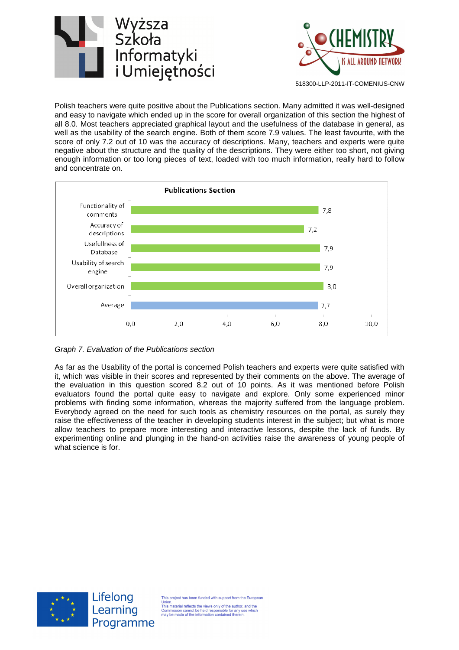



Polish teachers were quite positive about the Publications section. Many admitted it was well-designed and easy to navigate which ended up in the score for overall organization of this section the highest of all 8.0. Most teachers appreciated graphical layout and the usefulness of the database in general, as well as the usability of the search engine. Both of them score 7.9 values. The least favourite, with the score of only 7.2 out of 10 was the accuracy of descriptions. Many, teachers and experts were quite negative about the structure and the quality of the descriptions. They were either too short, not giving enough information or too long pieces of text, loaded with too much information, really hard to follow and concentrate on.



Graph 7. Evaluation of the Publications section

As far as the Usability of the portal is concerned Polish teachers and experts were quite satisfied with it, which was visible in their scores and represented by their comments on the above. The average of the evaluation in this question scored 8.2 out of 10 points. As it was mentioned before Polish evaluators found the portal quite easy to navigate and explore. Only some experienced minor problems with finding some information, whereas the majority suffered from the language problem. Everybody agreed on the need for such tools as chemistry resources on the portal, as surely they raise the effectiveness of the teacher in developing students interest in the subject; but what is more allow teachers to prepare more interesting and interactive lessons, despite the lack of funds. By experimenting online and plunging in the hand-on activities raise the awareness of young people of what science is for.



his project has been funded with support from the Europear

This project has been funded with support from the Europe<br>This material reflects the views only of the author.<br>Commission cannot be held responsible for any use which<br>may be made of the information contained therein.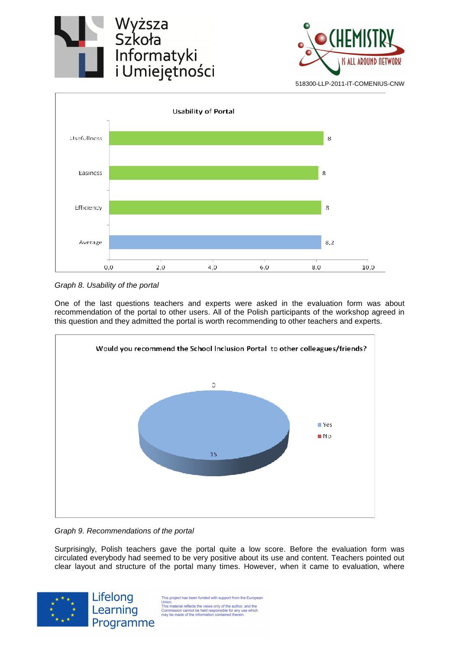





Graph 8. Usability of the portal

One of the last questions teachers and experts were asked in the evaluation form was about recommendation of the portal to other users. All of the Polish participants of the workshop agreed in this question and they admitted the portal is worth recommending to other teachers and experts.



# Graph 9. Recommendations of the portal

Surprisingly, Polish teachers gave the portal quite a low score. Before the evaluation form was circulated everybody had seemed to be very positive about its use and content. Teachers pointed out clear layout and structure of the portal many times. However, when it came to evaluation, where



This project has been funded with support from the European<br>Union.<br>This material reflects the views only of the author, and the<br>This material reflects the views only of the author, and the<br>Commission cannot be held respons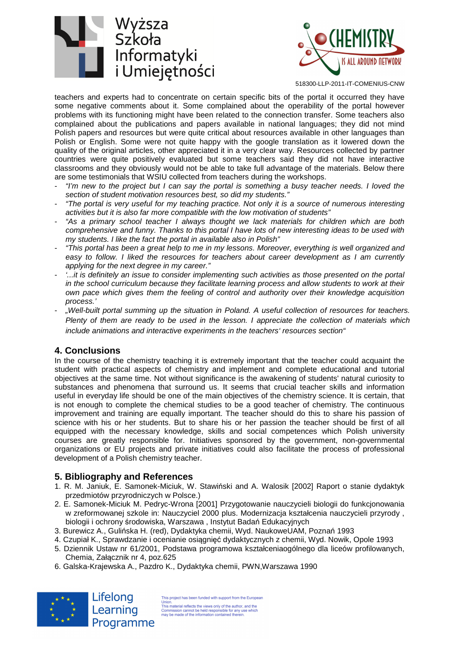



teachers and experts had to concentrate on certain specific bits of the portal it occurred they have some negative comments about it. Some complained about the operability of the portal however problems with its functioning might have been related to the connection transfer. Some teachers also complained about the publications and papers available in national languages; they did not mind Polish papers and resources but were quite critical about resources available in other languages than Polish or English. Some were not quite happy with the google translation as it lowered down the quality of the original articles, other appreciated it in a very clear way. Resources collected by partner countries were quite positively evaluated but some teachers said they did not have interactive classrooms and they obviously would not be able to take full advantage of the materials. Below there are some testimonials that WSIU collected from teachers during the workshops.

- "I'm new to the project but I can say the portal is something a busy teacher needs. I loved the section of student motivation resources best, so did my students."
- "The portal is very useful for my teaching practice. Not only it is a source of numerous interesting activities but it is also far more compatible with the low motivation of students"
- "As a primary school teacher I always thought we lack materials for children which are both comprehensive and funny. Thanks to this portal I have lots of new interesting ideas to be used with my students. I like the fact the portal in available also in Polish"
- "This portal has been a great help to me in my lessons. Moreover, everything is well organized and easy to follow. I liked the resources for teachers about career development as I am currently applying for the next degree in my career."
- '...it is definitely an issue to consider implementing such activities as those presented on the portal in the school curriculum because they facilitate learning process and allow students to work at their own pace which gives them the feeling of control and authority over their knowledge acquisition process.'
- "Well-built portal summing up the situation in Poland. A useful collection of resources for teachers. Plenty of them are ready to be used in the lesson. I appreciate the collection of materials which include animations and interactive experiments in the teachers' resources section"

# **4. Conclusions**

In the course of the chemistry teaching it is extremely important that the teacher could acquaint the student with practical aspects of chemistry and implement and complete educational and tutorial objectives at the same time. Not without significance is the awakening of students' natural curiosity to substances and phenomena that surround us. It seems that crucial teacher skills and information useful in everyday life should be one of the main objectives of the chemistry science. It is certain, that is not enough to complete the chemical studies to be a good teacher of chemistry. The continuous improvement and training are equally important. The teacher should do this to share his passion of science with his or her students. But to share his or her passion the teacher should be first of all equipped with the necessary knowledge, skills and social competences which Polish university courses are greatly responsible for. Initiatives sponsored by the government, non-governmental organizations or EU projects and private initiatives could also facilitate the process of professional development of a Polish chemistry teacher.

# **5. Bibliography and References**

- 1. R. M. Janiuk, E. Samonek-Miciuk, W. Stawiński and A. Walosik [2002] Raport o stanie dydaktyk przedmiotów przyrodniczych w Polsce.)
- 2. E. Samonek-Miciuk M. Pedryc-Wrona [2001] Przygotowanie nauczycieli biologii do funkcjonowania w zreformowanej szkole in: Nauczyciel 2000 plus. Modernizacja kształcenia nauczycieli przyrody , biologii i ochrony środowiska, Warszawa , Instytut Badań Edukacyjnych
- 3. Burewicz A., Gulińska H. (red), Dydaktyka chemii, Wyd. NaukoweUAM, Poznań 1993
- 4. Czupiał K., Sprawdzanie i ocenianie osiągnięć dydaktycznych z chemii, Wyd. Nowik, Opole 1993
- 5. Dziennik Ustaw nr 61/2001, Podstawa programowa kształceniaogólnego dla liceów profilowanych, Chemia, Załącznik nr 4, poz.625
- 6. Galska-Krajewska A., Pazdro K., Dydaktyka chemii, PWN,Warszawa 1990